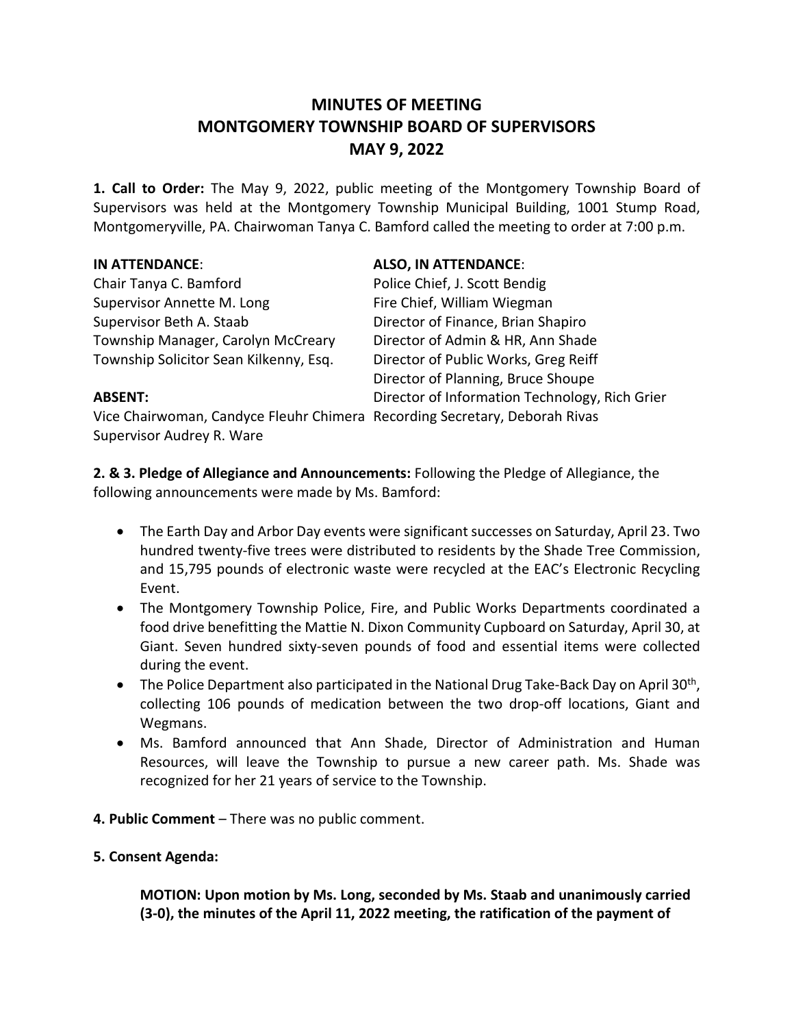# **MINUTES OF MEETING MONTGOMERY TOWNSHIP BOARD OF SUPERVISORS MAY 9, 2022**

**1. Call to Order:** The May 9, 2022, public meeting of the Montgomery Township Board of Supervisors was held at the Montgomery Township Municipal Building, 1001 Stump Road, Montgomeryville, PA. Chairwoman Tanya C. Bamford called the meeting to order at 7:00 p.m.

Chair Tanya C. Bamford **Police Chief, J. Scott Bendig** Supervisor Annette M. Long Fire Chief, William Wiegman Supervisor Beth A. Staab Director of Finance, Brian Shapiro Township Manager, Carolyn McCreary Director of Admin & HR, Ann Shade Township Solicitor Sean Kilkenny, Esq. Director of Public Works, Greg Reiff

# **IN ATTENDANCE**: **ALSO, IN ATTENDANCE**:

Director of Planning, Bruce Shoupe **ABSENT:** Director of Information Technology, Rich Grier

Vice Chairwoman, Candyce Fleuhr Chimera Recording Secretary, Deborah Rivas Supervisor Audrey R. Ware

**2. & 3. Pledge of Allegiance and Announcements:** Following the Pledge of Allegiance, the following announcements were made by Ms. Bamford:

- The Earth Day and Arbor Day events were significant successes on Saturday, April 23. Two hundred twenty-five trees were distributed to residents by the Shade Tree Commission, and 15,795 pounds of electronic waste were recycled at the EAC's Electronic Recycling Event.
- The Montgomery Township Police, Fire, and Public Works Departments coordinated a food drive benefitting the Mattie N. Dixon Community Cupboard on Saturday, April 30, at Giant. Seven hundred sixty-seven pounds of food and essential items were collected during the event.
- The Police Department also participated in the National Drug Take-Back Day on April 30<sup>th</sup>, collecting 106 pounds of medication between the two drop-off locations, Giant and Wegmans.
- Ms. Bamford announced that Ann Shade, Director of Administration and Human Resources, will leave the Township to pursue a new career path. Ms. Shade was recognized for her 21 years of service to the Township.
- **4. Public Comment** There was no public comment.
- **5. Consent Agenda:**

**MOTION: Upon motion by Ms. Long, seconded by Ms. Staab and unanimously carried (3-0), the minutes of the April 11, 2022 meeting, the ratification of the payment of**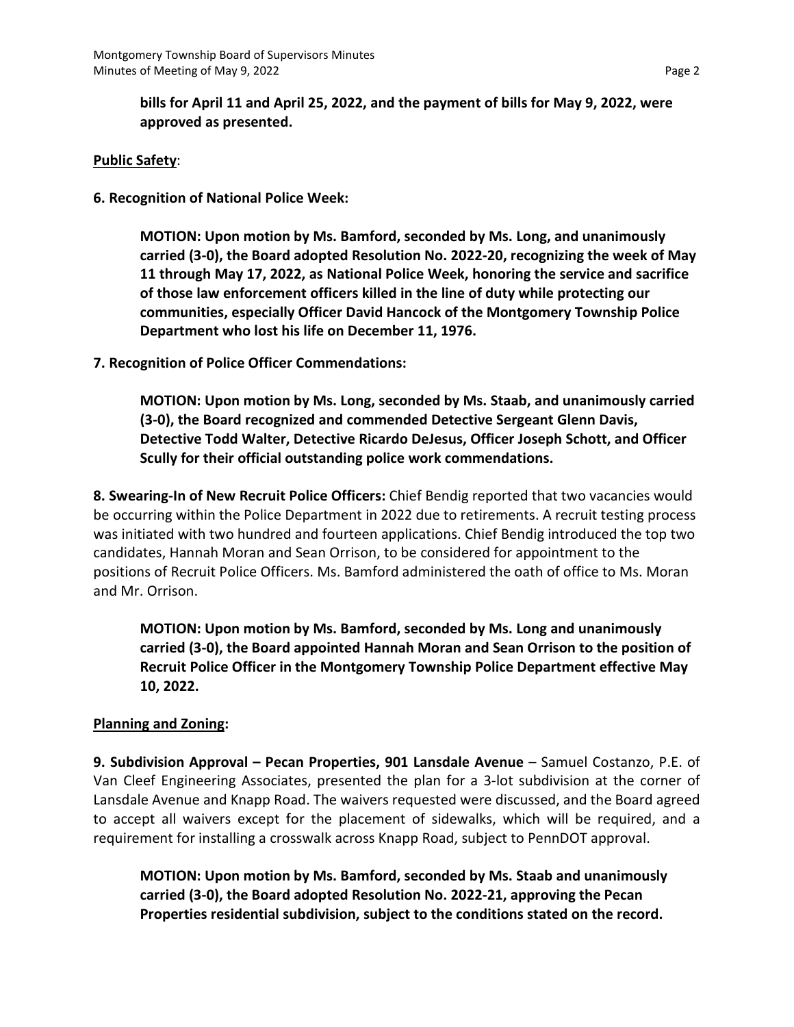**bills for April 11 and April 25, 2022, and the payment of bills for May 9, 2022, were approved as presented.**

### **Public Safety**:

**6. Recognition of National Police Week:**

**MOTION: Upon motion by Ms. Bamford, seconded by Ms. Long, and unanimously carried (3-0), the Board adopted Resolution No. 2022-20, recognizing the week of May 11 through May 17, 2022, as National Police Week, honoring the service and sacrifice of those law enforcement officers killed in the line of duty while protecting our communities, especially Officer David Hancock of the Montgomery Township Police Department who lost his life on December 11, 1976.**

**7. Recognition of Police Officer Commendations:** 

**MOTION: Upon motion by Ms. Long, seconded by Ms. Staab, and unanimously carried (3-0), the Board recognized and commended Detective Sergeant Glenn Davis, Detective Todd Walter, Detective Ricardo DeJesus, Officer Joseph Schott, and Officer Scully for their official outstanding police work commendations.** 

**8. Swearing-In of New Recruit Police Officers:** Chief Bendig reported that two vacancies would be occurring within the Police Department in 2022 due to retirements. A recruit testing process was initiated with two hundred and fourteen applications. Chief Bendig introduced the top two candidates, Hannah Moran and Sean Orrison, to be considered for appointment to the positions of Recruit Police Officers. Ms. Bamford administered the oath of office to Ms. Moran and Mr. Orrison.

**MOTION: Upon motion by Ms. Bamford, seconded by Ms. Long and unanimously carried (3-0), the Board appointed Hannah Moran and Sean Orrison to the position of Recruit Police Officer in the Montgomery Township Police Department effective May 10, 2022.**

# **Planning and Zoning:**

**9. Subdivision Approval – Pecan Properties, 901 Lansdale Avenue** – Samuel Costanzo, P.E. of Van Cleef Engineering Associates, presented the plan for a 3-lot subdivision at the corner of Lansdale Avenue and Knapp Road. The waivers requested were discussed, and the Board agreed to accept all waivers except for the placement of sidewalks, which will be required, and a requirement for installing a crosswalk across Knapp Road, subject to PennDOT approval.

**MOTION: Upon motion by Ms. Bamford, seconded by Ms. Staab and unanimously carried (3-0), the Board adopted Resolution No. 2022-21, approving the Pecan Properties residential subdivision, subject to the conditions stated on the record.**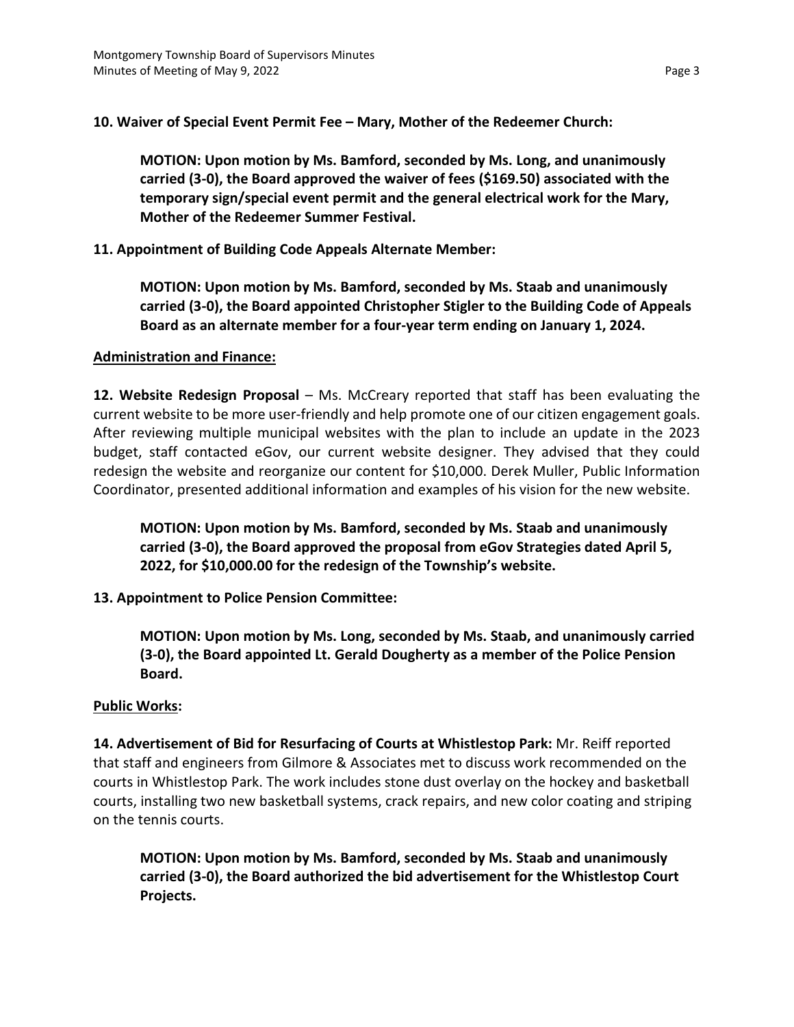**10. Waiver of Special Event Permit Fee – Mary, Mother of the Redeemer Church:**

**MOTION: Upon motion by Ms. Bamford, seconded by Ms. Long, and unanimously carried (3-0), the Board approved the waiver of fees (\$169.50) associated with the temporary sign/special event permit and the general electrical work for the Mary, Mother of the Redeemer Summer Festival.**

**11. Appointment of Building Code Appeals Alternate Member:** 

**MOTION: Upon motion by Ms. Bamford, seconded by Ms. Staab and unanimously carried (3-0), the Board appointed Christopher Stigler to the Building Code of Appeals Board as an alternate member for a four-year term ending on January 1, 2024.**

### **Administration and Finance:**

**12. Website Redesign Proposal** – Ms. McCreary reported that staff has been evaluating the current website to be more user-friendly and help promote one of our citizen engagement goals. After reviewing multiple municipal websites with the plan to include an update in the 2023 budget, staff contacted eGov, our current website designer. They advised that they could redesign the website and reorganize our content for \$10,000. Derek Muller, Public Information Coordinator, presented additional information and examples of his vision for the new website.

**MOTION: Upon motion by Ms. Bamford, seconded by Ms. Staab and unanimously carried (3-0), the Board approved the proposal from eGov Strategies dated April 5, 2022, for \$10,000.00 for the redesign of the Township's website.**

# **13. Appointment to Police Pension Committee:**

**MOTION: Upon motion by Ms. Long, seconded by Ms. Staab, and unanimously carried (3-0), the Board appointed Lt. Gerald Dougherty as a member of the Police Pension Board.**

#### **Public Works:**

**14. Advertisement of Bid for Resurfacing of Courts at Whistlestop Park:** Mr. Reiff reported that staff and engineers from Gilmore & Associates met to discuss work recommended on the courts in Whistlestop Park. The work includes stone dust overlay on the hockey and basketball courts, installing two new basketball systems, crack repairs, and new color coating and striping on the tennis courts.

**MOTION: Upon motion by Ms. Bamford, seconded by Ms. Staab and unanimously carried (3-0), the Board authorized the bid advertisement for the Whistlestop Court Projects.**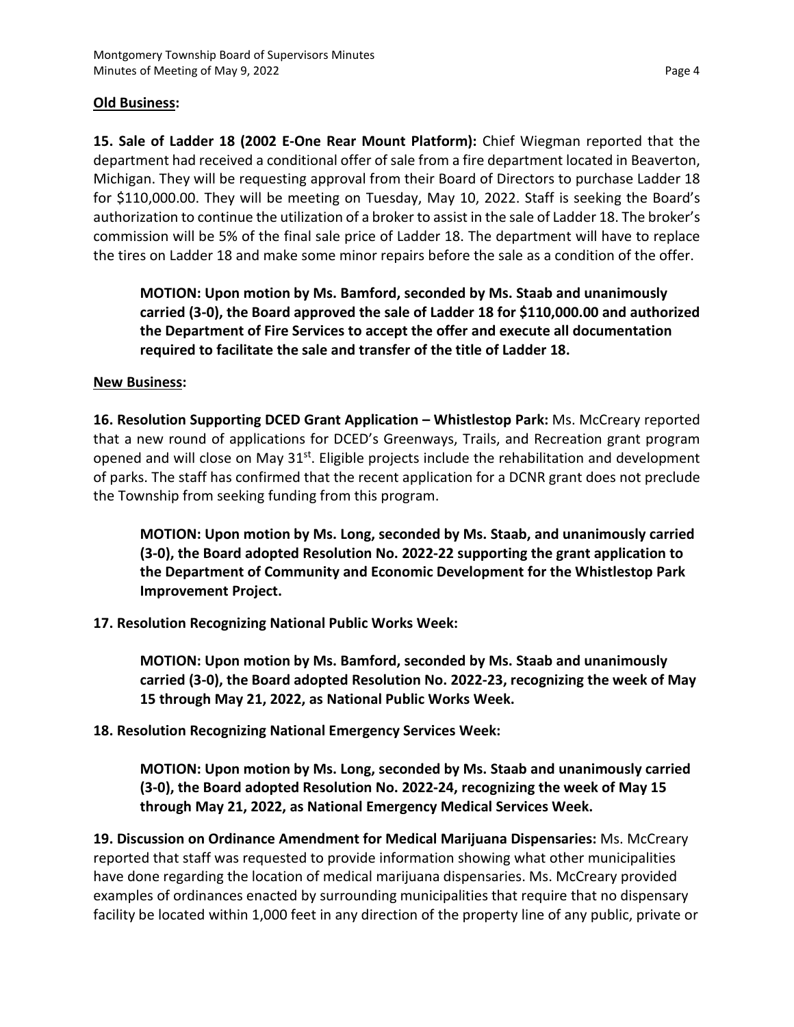# **Old Business:**

**15. Sale of Ladder 18 (2002 E-One Rear Mount Platform):** Chief Wiegman reported that the department had received a conditional offer of sale from a fire department located in Beaverton, Michigan. They will be requesting approval from their Board of Directors to purchase Ladder 18 for \$110,000.00. They will be meeting on Tuesday, May 10, 2022. Staff is seeking the Board's authorization to continue the utilization of a broker to assist in the sale of Ladder 18. The broker's commission will be 5% of the final sale price of Ladder 18. The department will have to replace the tires on Ladder 18 and make some minor repairs before the sale as a condition of the offer.

**MOTION: Upon motion by Ms. Bamford, seconded by Ms. Staab and unanimously carried (3-0), the Board approved the sale of Ladder 18 for \$110,000.00 and authorized the Department of Fire Services to accept the offer and execute all documentation required to facilitate the sale and transfer of the title of Ladder 18.** 

# **New Business:**

**16. Resolution Supporting DCED Grant Application – Whistlestop Park:** Ms. McCreary reported that a new round of applications for DCED's Greenways, Trails, and Recreation grant program opened and will close on May  $31^{st}$ . Eligible projects include the rehabilitation and development of parks. The staff has confirmed that the recent application for a DCNR grant does not preclude the Township from seeking funding from this program.

**MOTION: Upon motion by Ms. Long, seconded by Ms. Staab, and unanimously carried (3-0), the Board adopted Resolution No. 2022-22 supporting the grant application to the Department of Community and Economic Development for the Whistlestop Park Improvement Project.**

**17. Resolution Recognizing National Public Works Week:**

**MOTION: Upon motion by Ms. Bamford, seconded by Ms. Staab and unanimously carried (3-0), the Board adopted Resolution No. 2022-23, recognizing the week of May 15 through May 21, 2022, as National Public Works Week.**

**18. Resolution Recognizing National Emergency Services Week:**

**MOTION: Upon motion by Ms. Long, seconded by Ms. Staab and unanimously carried (3-0), the Board adopted Resolution No. 2022-24, recognizing the week of May 15 through May 21, 2022, as National Emergency Medical Services Week.**

**19. Discussion on Ordinance Amendment for Medical Marijuana Dispensaries:** Ms. McCreary reported that staff was requested to provide information showing what other municipalities have done regarding the location of medical marijuana dispensaries. Ms. McCreary provided examples of ordinances enacted by surrounding municipalities that require that no dispensary facility be located within 1,000 feet in any direction of the property line of any public, private or